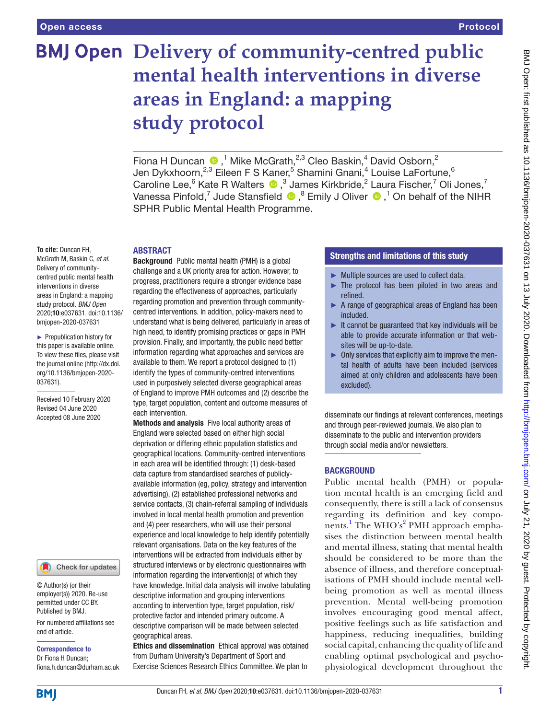# **BMJ Open Delivery of community-centred public mental health interventions in diverse areas in England: a mapping study protocol**

Fiona H Duncan  $\bigcirc$ ,<sup>1</sup> Mike McGrath,<sup>2,3</sup> Cleo Baskin,<sup>4</sup> David Osborn,<sup>2</sup> Jen Dykxhoorn,<sup>2,3</sup> Eileen F S Kaner,<sup>5</sup> Shamini Gnani,<sup>4</sup> Louise LaFortune,<sup>6</sup> Caroline Lee,<sup>6</sup> Kate R Walters  $\bullet$ ,<sup>3</sup> James Kirkbride,<sup>2</sup> Laura Fischer,<sup>7</sup> Oli Jones,<sup>7</sup> VanessaPinfold,<sup>7</sup> Jude Stansfield  $\bigcirc$ ,<sup>8</sup> Emily J Oliver  $\bigcirc$ ,<sup>1</sup> On behalf of the NIHR SPHR Public Mental Health Programme.

#### **ABSTRACT**

**To cite:** Duncan FH, McGrath M, Baskin C, *et al*. Delivery of communitycentred public mental health interventions in diverse areas in England: a mapping study protocol. *BMJ Open* 2020;10:e037631. doi:10.1136/ bmjopen-2020-037631

► Prepublication history for this paper is available online. To view these files, please visit the journal online (http://dx.doi. org/10.1136/bmjopen-2020- 037631).

Received 10 February 2020 Revised 04 June 2020 Accepted 08 June 2020



© Author(s) (or their employer(s)) 2020. Re-use permitted under CC BY. Published by BMJ.

For numbered affiliations see end of article.

Correspondence to Dr Fiona H Duncan; fiona.h.duncan@durham.ac.uk

Background Public mental health (PMH) is a global challenge and a UK priority area for action. However, to progress, practitioners require a stronger evidence base regarding the effectiveness of approaches, particularly regarding promotion and prevention through communitycentred interventions. In addition, policy-makers need to understand what is being delivered, particularly in areas of high need, to identify promising practices or gaps in PMH provision. Finally, and importantly, the public need better information regarding what approaches and services are available to them. We report a protocol designed to (1) identify the types of community-centred interventions used in purposively selected diverse geographical areas of England to improve PMH outcomes and (2) describe the type, target population, content and outcome measures of each intervention.

Methods and analysis Five local authority areas of England were selected based on either high social deprivation or differing ethnic population statistics and geographical locations. Community-centred interventions in each area will be identified through: (1) desk-based data capture from standardised searches of publiclyavailable information (eg, policy, strategy and intervention advertising), (2) established professional networks and service contacts, (3) chain-referral sampling of individuals involved in local mental health promotion and prevention and (4) peer researchers, who will use their personal experience and local knowledge to help identify potentially relevant organisations. Data on the key features of the interventions will be extracted from individuals either by structured interviews or by electronic questionnaires with information regarding the intervention(s) of which they have knowledge. Initial data analysis will involve tabulating descriptive information and grouping interventions according to intervention type, target population, risk/ protective factor and intended primary outcome. A descriptive comparison will be made between selected geographical areas.

Ethics and dissemination Ethical approval was obtained from Durham University's Department of Sport and Exercise Sciences Research Ethics Committee. We plan to

# Strengths and limitations of this study

- ► Multiple sources are used to collect data.
- ► The protocol has been piloted in two areas and refined.
- ► A range of geographical areas of England has been included.
- $\blacktriangleright$  It cannot be quaranteed that key individuals will be able to provide accurate information or that websites will be up-to-date.
- $\triangleright$  Only services that explicitly aim to improve the mental health of adults have been included (services aimed at only children and adolescents have been excluded).

disseminate our findings at relevant conferences, meetings and through peer-reviewed journals. We also plan to disseminate to the public and intervention providers through social media and/or newsletters.

# **BACKGROUND**

Public mental health (PMH) or population mental health is an emerging field and consequently, there is still a lack of consensus regarding its definition and key compo-nents.<sup>[1](#page-5-0)</sup> The WHO's<sup>[2](#page-5-1)</sup> PMH approach emphasises the distinction between mental health and mental illness, stating that mental health should be considered to be more than the absence of illness, and therefore conceptualisations of PMH should include mental wellbeing promotion as well as mental illness prevention. Mental well-being promotion involves encouraging good mental affect, positive feelings such as life satisfaction and happiness, reducing inequalities, building social capital, enhancing the quality of life and enabling optimal psychological and psychophysiological development throughout the

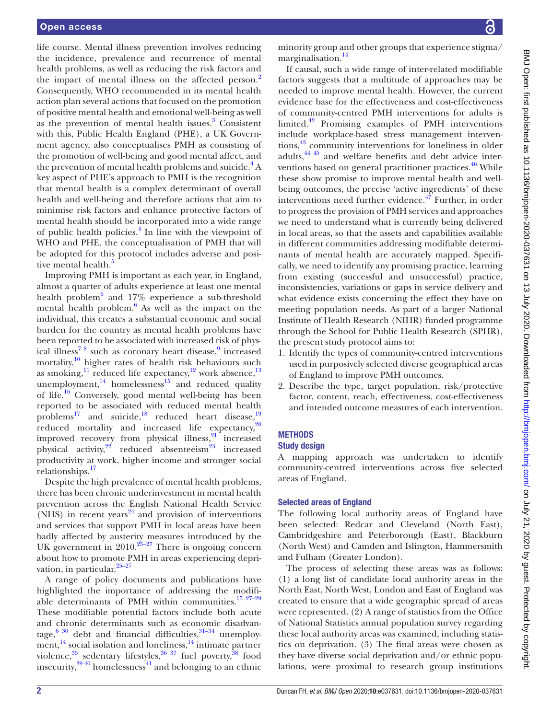life course. Mental illness prevention involves reducing the incidence, prevalence and recurrence of mental health problems, as well as reducing the risk factors and the impact of mental illness on the affected person.<sup>[2](#page-5-1)</sup> Consequently, WHO recommended in its mental health action plan several actions that focused on the promotion of positive mental health and emotional well-being as well as the prevention of mental health issues.<sup>[3](#page-5-2)</sup> Consistent with this, Public Health England (PHE), a UK Government agency, also conceptualises PMH as consisting of the promotion of well-being and good mental affect, and the prevention of mental health problems and suicide.<sup>[4](#page-5-3)</sup> A key aspect of PHE's approach to PMH is the recognition that mental health is a complex determinant of overall health and well-being and therefore actions that aim to minimise risk factors and enhance protective factors of mental health should be incorporated into a wide range of public health policies.<sup>[4](#page-5-3)</sup> In line with the viewpoint of WHO and PHE, the conceptualisation of PMH that will be adopted for this protocol includes adverse and posi-tive mental health.<sup>[5](#page-5-4)</sup>

Improving PMH is important as each year, in England, almost a quarter of adults experience at least one mental health problem<sup>[6](#page-5-5)</sup> and 17% experience a sub-threshold mental health problem. $6$  As well as the impact on the individual, this creates a substantial economic and social burden for the country as mental health problems have been reported to be associated with increased risk of physical illness<sup>78</sup> such as coronary heart disease,<sup>9</sup> increased mortality,<sup>[10](#page-5-8)</sup> higher rates of health risk behaviours such as smoking,<sup>11</sup> reduced life expectancy,<sup>12</sup> work absence,<sup>13</sup> unemployment, $^{14}$  homelessness<sup>15</sup> and reduced quality of life.[16](#page-5-14) Conversely, good mental well-being has been reported to be associated with reduced mental health problems<sup>[17](#page-5-15)</sup> and suicide,<sup>18</sup> reduced heart disease,<sup>19</sup> reduced mortality and increased life expectancy,<sup>20</sup> improved recovery from physical illness,<sup>21</sup> increased physical activity,<sup>22</sup> reduced absenteeism<sup>23</sup> increased productivity at work, higher income and stronger social relationships.<sup>[17](#page-5-15)</sup>

Despite the high prevalence of mental health problems, there has been chronic underinvestment in mental health prevention across the English National Health Service (NHS) in recent years $^{24}$  $^{24}$  $^{24}$  and provision of interventions and services that support PMH in local areas have been badly affected by austerity measures introduced by the UK government in 2010.<sup>25-27</sup> There is ongoing concern about how to promote PMH in areas experiencing deprivation, in particular.<sup>25-27</sup>

A range of policy documents and publications have highlighted the importance of addressing the modifiable determinants of PMH within communities.<sup>15 27-29</sup> These modifiable potential factors include both acute and chronic determinants such as economic disadvantage, $6^{80}$  debt and financial difficulties, $31-34$  unemployment, $^{14}$  social isolation and loneliness, $^{14}$  intimate partner violence, $35$  sedentary lifestyles, $36\,37$  fuel poverty, $38\,$  food insecurity,  $39\frac{40}{10}$  homelessness<sup>41</sup> and belonging to an ethnic

minority group and other groups that experience stigma/ marginalisation.<sup>14</sup>

If causal, such a wide range of inter-related modifiable factors suggests that a multitude of approaches may be needed to improve mental health. However, the current evidence base for the effectiveness and cost-effectiveness of community-centred PMH interventions for adults is limited[.42](#page-5-30) Promising examples of PMH interventions include workplace-based stress management interventions,[43](#page-5-31) community interventions for loneliness in older adults, $44\frac{45}{12}$  and welfare benefits and debt advice inter-ventions based on general practitioner practices.<sup>[46](#page-6-0)</sup> While these show promise to improve mental health and wellbeing outcomes, the precise 'active ingredients' of these interventions need further evidence.<sup>47</sup> Further, in order to progress the provision of PMH services and approaches we need to understand what is currently being delivered in local areas, so that the assets and capabilities available in different communities addressing modifiable determinants of mental health are accurately mapped. Specifically, we need to identify any promising practice, learning from existing (successful and unsuccessful) practice, inconsistencies, variations or gaps in service delivery and what evidence exists concerning the effect they have on meeting population needs. As part of a larger National Institute of Health Research (NIHR) funded programme through the School for Public Health Research (SPHR), the present study protocol aims to:

- 1. Identify the types of community-centred interventions used in purposively selected diverse geographical areas of England to improve PMH outcomes.
- 2. Describe the type, target population, risk/protective factor, content, reach, effectiveness, cost-effectiveness and intended outcome measures of each intervention.

# **METHODS**

# Study design

A mapping approach was undertaken to identify community-centred interventions across five selected areas of England.

# Selected areas of England

The following local authority areas of England have been selected: Redcar and Cleveland (North East), Cambridgeshire and Peterborough (East), Blackburn (North West) and Camden and Islington, Hammersmith and Fulham (Greater London).

The process of selecting these areas was as follows: (1) a long list of candidate local authority areas in the North East, North West, London and East of England was created to ensure that a wide geographic spread of areas were represented. (2) A range of statistics from the Office of National Statistics annual population survey regarding these local authority areas was examined, including statistics on deprivation. (3) The final areas were chosen as they have diverse social deprivation and/or ethnic populations, were proximal to research group institutions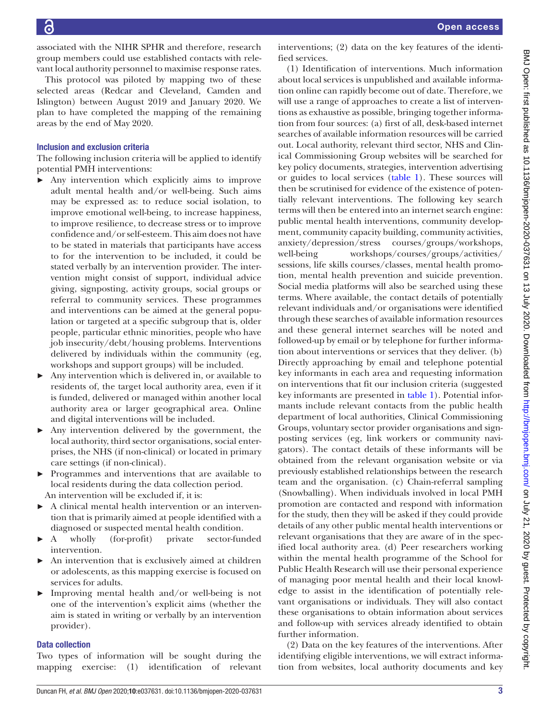associated with the NIHR SPHR and therefore, research group members could use established contacts with relevant local authority personnel to maximise response rates.

This protocol was piloted by mapping two of these selected areas (Redcar and Cleveland, Camden and Islington) between August 2019 and January 2020. We plan to have completed the mapping of the remaining areas by the end of May 2020.

### Inclusion and exclusion criteria

The following inclusion criteria will be applied to identify potential PMH interventions:

- ► Any intervention which explicitly aims to improve adult mental health and/or well-being. Such aims may be expressed as: to reduce social isolation, to improve emotional well-being, to increase happiness, to improve resilience, to decrease stress or to improve confidence and/or self-esteem. This aim does not have to be stated in materials that participants have access to for the intervention to be included, it could be stated verbally by an intervention provider. The intervention might consist of support, individual advice giving, signposting, activity groups, social groups or referral to community services. These programmes and interventions can be aimed at the general population or targeted at a specific subgroup that is, older people, particular ethnic minorities, people who have job insecurity/debt/housing problems. Interventions delivered by individuals within the community (eg, workshops and support groups) will be included.
- Any intervention which is delivered in, or available to residents of, the target local authority area, even if it is funded, delivered or managed within another local authority area or larger geographical area. Online and digital interventions will be included.
- Any intervention delivered by the government, the local authority, third sector organisations, social enterprises, the NHS (if non-clinical) or located in primary care settings (if non-clinical).
- ► Programmes and interventions that are available to local residents during the data collection period. An intervention will be excluded if, it is:
- A clinical mental health intervention or an intervention that is primarily aimed at people identified with a diagnosed or suspected mental health condition.
- ► A wholly (for-profit) private sector-funded intervention.
- ► An intervention that is exclusively aimed at children or adolescents, as this mapping exercise is focused on services for adults.
- ► Improving mental health and/or well-being is not one of the intervention's explicit aims (whether the aim is stated in writing or verbally by an intervention provider).

#### Data collection

Two types of information will be sought during the mapping exercise: (1) identification of relevant

interventions; (2) data on the key features of the identified services.

(1) Identification of interventions. Much information about local services is unpublished and available information online can rapidly become out of date. Therefore, we will use a range of approaches to create a list of interventions as exhaustive as possible, bringing together information from four sources: (a) first of all, desk-based internet searches of available information resources will be carried out. Local authority, relevant third sector, NHS and Clinical Commissioning Group websites will be searched for key policy documents, strategies, intervention advertising or guides to local services ([table](#page-3-0) 1). These sources will then be scrutinised for evidence of the existence of potentially relevant interventions. The following key search terms will then be entered into an internet search engine: public mental health interventions, community development, community capacity building, community activities, anxiety/depression/stress courses/groups/workshops, well-being workshops/courses/groups/activities/ sessions, life skills courses/classes, mental health promotion, mental health prevention and suicide prevention. Social media platforms will also be searched using these terms. Where available, the contact details of potentially relevant individuals and/or organisations were identified through these searches of available information resources and these general internet searches will be noted and followed-up by email or by telephone for further information about interventions or services that they deliver. (b) Directly approaching by email and telephone potential key informants in each area and requesting information on interventions that fit our inclusion criteria (suggested key informants are presented in [table](#page-3-0) 1). Potential informants include relevant contacts from the public health department of local authorities, Clinical Commissioning Groups, voluntary sector provider organisations and signposting services (eg, link workers or community navigators). The contact details of these informants will be obtained from the relevant organisation website or via previously established relationships between the research team and the organisation. (c) Chain-referral sampling (Snowballing). When individuals involved in local PMH promotion are contacted and respond with information for the study, then they will be asked if they could provide details of any other public mental health interventions or relevant organisations that they are aware of in the specified local authority area. (d) Peer researchers working within the mental health programme of the School for Public Health Research will use their personal experience of managing poor mental health and their local knowledge to assist in the identification of potentially relevant organisations or individuals. They will also contact these organisations to obtain information about services and follow-up with services already identified to obtain further information.

(2) Data on the key features of the interventions. After identifying eligible interventions, we will extract information from websites, local authority documents and key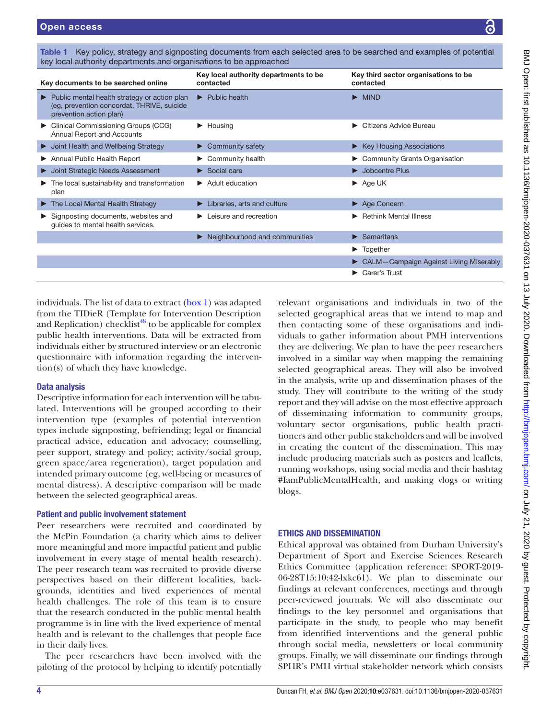► CALM—Campaign Against Living Miserably relevant organisations and individuals in two of the

<span id="page-3-0"></span>Table 1 Key policy, strategy and signposting documents from each selected area to be searched and examples of potential key local authority departments and organisations to be approached Key documents to be searched online Key local authority departments to be contacted Key third sector organisations to be contacted Public mental health strategy or action plan (eg, prevention concordat, THRIVE, suicide prevention action plan) ► Public health ► MIND ► Clinical Commissioning Groups (CCG) Annual Report and Accounts ► Housing ● Notation State Bureau ► Joint Health and Wellbeing Strategy ► Community safety ► Key Housing Associations ► Annual Public Health Report ► Community health ► Community Grants Organisation ► Joint Strategic Needs Assessment ► Social care ► Jobcentre Plus The local sustainability and transformation plan ► Adult education ► Age UK ► The Local Mental Health Strategy ► Libraries, arts and culture ► Age Concern ► Signposting documents, websites and guides to mental health services. Leisure and recreation 
■ Rethink Mental Illness ► Neighbourhood and communities ► Samaritans ► Together ► Carer's Trust

individuals. The list of data to extract ([box](#page-4-0) 1) was adapted from the TIDieR (Template for Intervention Description and Replication) checklist<sup>[48](#page-6-2)</sup> to be applicable for complex public health interventions. Data will be extracted from individuals either by structured interview or an electronic questionnaire with information regarding the intervention(s) of which they have knowledge.

# Data analysis

Descriptive information for each intervention will be tabulated. Interventions will be grouped according to their intervention type (examples of potential intervention types include signposting, befriending; legal or financial practical advice, education and advocacy; counselling, peer support, strategy and policy; activity/social group, green space/area regeneration), target population and intended primary outcome (eg, well-being or measures of mental distress). A descriptive comparison will be made between the selected geographical areas.

# Patient and public involvement statement

Peer researchers were recruited and coordinated by the McPin Foundation (a charity which aims to deliver more meaningful and more impactful patient and public involvement in every stage of mental health research). The peer research team was recruited to provide diverse perspectives based on their different localities, backgrounds, identities and lived experiences of mental health challenges. The role of this team is to ensure that the research conducted in the public mental health programme is in line with the lived experience of mental health and is relevant to the challenges that people face in their daily lives.

The peer researchers have been involved with the piloting of the protocol by helping to identify potentially

selected geographical areas that we intend to map and then contacting some of these organisations and individuals to gather information about PMH interventions they are delivering. We plan to have the peer researchers involved in a similar way when mapping the remaining selected geographical areas. They will also be involved in the analysis, write up and dissemination phases of the study. They will contribute to the writing of the study report and they will advise on the most effective approach of disseminating information to community groups, voluntary sector organisations, public health practitioners and other public stakeholders and will be involved in creating the content of the dissemination. This may include producing materials such as posters and leaflets, running workshops, using social media and their hashtag #IamPublicMentalHealth, and making vlogs or writing blogs.

# Ethics and dissemination

Ethical approval was obtained from Durham University's Department of Sport and Exercise Sciences Research Ethics Committee (application reference: SPORT-2019- 06-28T15:10:42-lxkc61). We plan to disseminate our findings at relevant conferences, meetings and through peer-reviewed journals. We will also disseminate our findings to the key personnel and organisations that participate in the study, to people who may benefit from identified interventions and the general public through social media, newsletters or local community groups. Finally, we will disseminate our findings through SPHR's PMH virtual stakeholder network which consists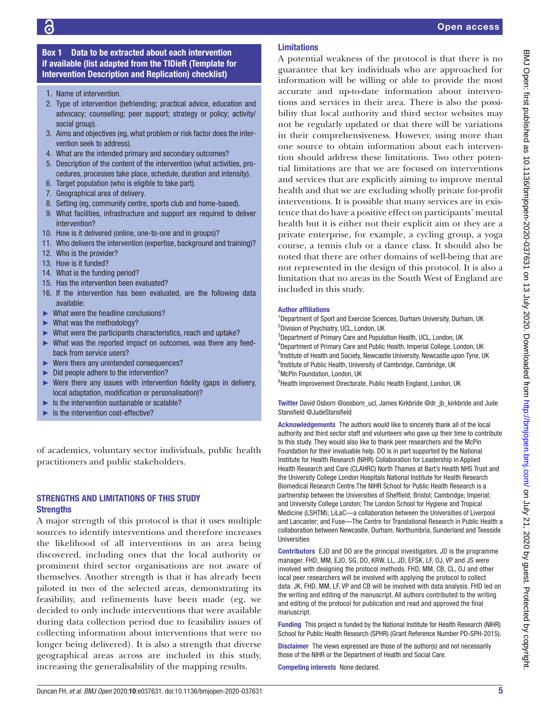# Box 1 Data to be extracted about each intervention if available (list adapted from the TIDieR (Template for Intervention Description and Replication) checklist)

- <span id="page-4-0"></span>1. Name of intervention.
- 2. Type of intervention (befriending; practical advice, education and advocacy; counselling; peer support; strategy or policy; activity/ social group).
- 3. Aims and objectives (eg, what problem or risk factor does the intervention seek to address).
- 4. What are the intended primary and secondary outcomes?
- 5. Description of the content of the intervention (what activities, procedures, processes take place, schedule, duration and intensity).
- 6. Target population (who is eligible to take part).
- 7. Geographical area of delivery.
- 8. Setting (eg, community centre, sports club and home-based).
- 9. What facilities, infrastructure and support are required to deliver intervention?
- 10. How is it delivered (online, one-to-one and in groups)?
- 11. Who delivers the intervention (expertise, background and training)?
- 12. Who is the provider?
- 13. How is it funded?
- 14. What is the funding period?
- 15. Has the intervention been evaluated?
- 16. If the intervention has been evaluated, are the following data available:
- ► What were the headline conclusions?
- ► What was the methodology?
- $\triangleright$  What were the participants characteristics, reach and uptake?
- ► What was the reported impact on outcomes, was there any feedback from service users?
- ► Were there any unintended consequences?
- ► Did people adhere to the intervention?
- ► Were there any issues with intervention fidelity (gaps in delivery, local adaptation, modification or personalisation)?
- $\blacktriangleright$  Is the intervention sustainable or scalable?
- Is the intervention cost-effective?

of academics, voluntary sector individuals, public health practitioners and public stakeholders.

# Strengths and limitations of this study **Strengths**

A major strength of this protocol is that it uses multiple sources to identify interventions and therefore increases the likelihood of all interventions in an area being discovered, including ones that the local authority or prominent third sector organisations are not aware of themselves. Another strength is that it has already been piloted in two of the selected areas, demonstrating its feasibility, and refinements have been made (eg, we decided to only include interventions that were available during data collection period due to feasibility issues of collecting information about interventions that were no longer being delivered). It is also a strength that diverse geographical areas across are included in this study, increasing the generalisability of the mapping results.

# **Limitations**

A potential weakness of the protocol is that there is no guarantee that key individuals who are approached for information will be willing or able to provide the most accurate and up-to-date information about interventions and services in their area. There is also the possibility that local authority and third sector websites may not be regularly updated or that there will be variations in their comprehensiveness. However, using more than one source to obtain information about each intervention should address these limitations. Two other potential limitations are that we are focused on interventions and services that are explicitly aiming to improve mental health and that we are excluding wholly private for-profit interventions. It is possible that many services are in existence that do have a positive effect on participants' mental health but it is either not their explicit aim or they are a private enterprise, for example, a cycling group, a yoga course, a tennis club or a dance class. It should also be noted that there are other domains of well-being that are not represented in the design of this protocol. It is also a limitation that no areas in the South West of England are included in this study.

Open access

#### Author affiliations

<sup>1</sup>Department of Sport and Exercise Sciences, Durham University, Durham, UK <sup>2</sup> Division of Psychiatry, UCL, London, UK

<sup>3</sup>Department of Primary Care and Population Health, UCL, London, UK <sup>4</sup>Department of Primary Care and Public Health, Imperial College, London, UK <sup>5</sup>Institute of Health and Society, Newcastle University, Newcastle upon Tyne, UK <sup>6</sup>Institute of Public Health, University of Cambridge, Cambridge, UK <sup>7</sup> McPin Foundation, London, UK

<sup>8</sup>Health Improvement Directorate, Public Health England, London, UK

Twitter David Osborn [@oosborn\\_ucl,](https://twitter.com/oosborn_ucl) James Kirkbride [@dr\\_jb\\_kirkbride](https://twitter.com/dr_jb_kirkbride) and Jude Stansfield [@JudeStansfield](https://twitter.com/JudeStansfield)

Acknowledgements The authors would like to sincerely thank all of the local authority and third sector staff and volunteers who gave up their time to contribute to this study. They would also like to thank peer researchers and the McPin Foundation for their invaluable help. DO is in part supported by the National Institute for Health Research (NIHR) Collaboration for Leadership in Applied Health Research and Care (CLAHRC) North Thames at Bart's Health NHS Trust and the University College London Hospitals National Institute for Health Research Biomedical Research Centre.The NIHR School for Public Health Research is a partnership between the Universities of Sheffield; Bristol; Cambridge; Imperial; and University College London; The London School for Hygiene and Tropical Medicine (LSHTM); LiLaC—a collaboration between the Universities of Liverpool and Lancaster; and Fuse—The Centre for Translational Research in Public Health a collaboration between Newcastle, Durham, Northumbria, Sunderland and Teesside Universities

Contributors EJO and DO are the principal investigators. JD is the programme manager. FHD, MM, EJO, SG, DO, KRW, LL, JD, EFSK, LF, OJ, VP and JS were involved with designing the protocol methods. FHD, MM, CB, CL, OJ and other local peer researchers will be involved with applying the protocol to collect data. JK, FHD, MM, LF, VP and CB will be involved with data analysis. FHD led on the writing and editing of the manuscript. All authors contributed to the writing and editing of the protocol for publication and read and approved the final manuscript.

Funding This project is funded by the National Institute for Health Research (NIHR) School for Public Health Research (SPHR) (Grant Reference Number PD-SPH-2015).

Disclaimer The views expressed are those of the author(s) and not necessarily those of the NIHR or the Department of Health and Social Care.

Competing interests None declared.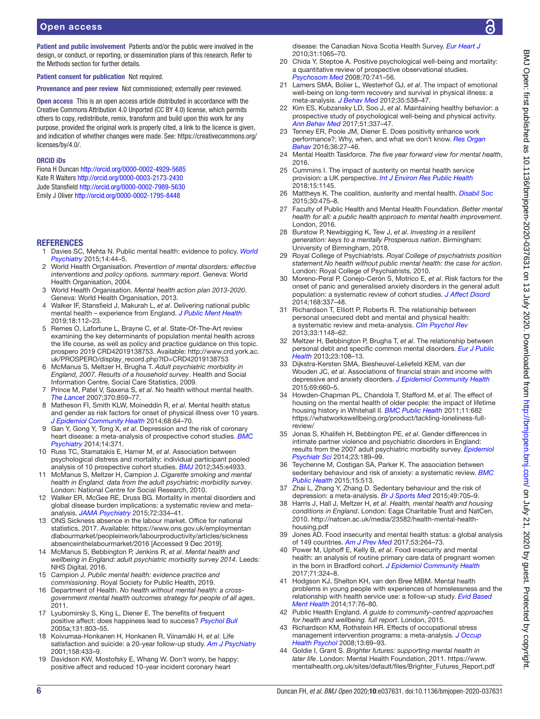Patient consent for publication Not required.

Provenance and peer review Not commissioned; externally peer reviewed.

Open access This is an open access article distributed in accordance with the Creative Commons Attribution 4.0 Unported (CC BY 4.0) license, which permits others to copy, redistribute, remix, transform and build upon this work for any purpose, provided the original work is properly cited, a link to the licence is given, and indication of whether changes were made. See: [https://creativecommons.org/](https://creativecommons.org/licenses/by/4.0/) [licenses/by/4.0/.](https://creativecommons.org/licenses/by/4.0/)

#### ORCID iDs

Fiona H Duncan <http://orcid.org/0000-0002-4929-5685> Kate R Walters <http://orcid.org/0000-0003-2173-2430> Jude Stansfield <http://orcid.org/0000-0002-7989-5630> Emily J Oliver <http://orcid.org/0000-0002-1795-8448>

#### **REFERENCES**

- <span id="page-5-0"></span>1 Davies SC, Mehta N. Public mental health: evidence to policy. *[World](http://dx.doi.org/10.1002/wps.20188)  [Psychiatry](http://dx.doi.org/10.1002/wps.20188)* 2015;14:44–5.
- <span id="page-5-1"></span>2 World Health Organisation. *Prevention of mental disorders: effective interventions and policy options. summary report*. Geneva: World Health Organisation, 2004.
- <span id="page-5-2"></span>3 World Health Organisation. *Mental health action plan 2013-2020*. Geneva: World Health Organisation, 2013.
- <span id="page-5-3"></span>4 Walker IF, Stansfield J, Makurah L, *et al*. Delivering national public mental health – experience from England. *[J Public Ment Health](http://dx.doi.org/10.1108/JPMH-06-2018-0032)* 2019;18:112–23.
- <span id="page-5-4"></span>5 Remes O, Lafortune L, Brayne C, *et al*. State-Of-The-Art review examining the key determinants of population mental health across the life course, as well as policy and practice guidance on this topic. prospero 2019 CRD42019138753. Available: [http://www.crd.york.ac.](http://www.crd.york.ac.uk/PROSPERO/display_record.php?ID=CRD42019138753) [uk/PROSPERO/display\\_record.php?ID=CRD42019138753](http://www.crd.york.ac.uk/PROSPERO/display_record.php?ID=CRD42019138753)
- <span id="page-5-5"></span>6 McManus S, Meltzer H, Brugha T. *Adult psychiatric morbidity in England, 2007. Results of a household survey*. Health and Social Information Centre, Social Care Statistics, 2009.
- <span id="page-5-6"></span>7 Prince M, Patel V, Saxena S, *et al*. No health without mental health. *[The Lancet](http://dx.doi.org/10.1016/S0140-6736(07)61238-0)* 2007;370:859–77.
- 8 Matheson FI, Smith KLW, Moineddin R, *et al*. Mental health status and gender as risk factors for onset of physical illness over 10 years. *[J Epidemiol Community Health](http://dx.doi.org/10.1136/jech-2013-202838)* 2014;68:64–70.
- <span id="page-5-7"></span>9 Gan Y, Gong Y, Tong X, *et al*. Depression and the risk of coronary heart disease: a meta-analysis of prospective cohort studies. *[BMC](http://dx.doi.org/10.1186/s12888-014-0371-z)  [Psychiatry](http://dx.doi.org/10.1186/s12888-014-0371-z)* 2014;14:371.
- <span id="page-5-8"></span>10 Russ TC, Stamatakis E, Hamer M, *et al*. Association between psychological distress and mortality: individual participant pooled analysis of 10 prospective cohort studies. *[BMJ](http://dx.doi.org/10.1136/bmj.e4933)* 2012;345:e4933.
- <span id="page-5-9"></span>11 McManus S, Meltzer H, Campion J. *Cigarette smoking and mental health in England. data from the adult psychiatric morbidity survey*. London: National Centre for Social Research, 2010.
- <span id="page-5-10"></span>12 Walker ER, McGee RE, Druss BG. Mortality in mental disorders and global disease burden implications: a systematic review and metaanalysis. *[JAMA Psychiatry](http://dx.doi.org/10.1001/jamapsychiatry.2014.2502)* 2015;72:334–41.
- <span id="page-5-11"></span>13 ONS Sickness absence in the labour market. Office for national statistics, 2017. Available: [https://www.ons.gov.uk/employmentan](https://www.ons.gov.uk/employmentandlabourmarket/peopleinwork/labourproductivity/articles/sicknessabsenceinthelabourmarket/2016) [dlabourmarket/peopleinwork/labourproductivity/articles/sickness](https://www.ons.gov.uk/employmentandlabourmarket/peopleinwork/labourproductivity/articles/sicknessabsenceinthelabourmarket/2016) [absenceinthelabourmarket/2016](https://www.ons.gov.uk/employmentandlabourmarket/peopleinwork/labourproductivity/articles/sicknessabsenceinthelabourmarket/2016) [Accessed 9 Dec 2019].
- <span id="page-5-12"></span>14 McManus S, Bebbington P, Jenkins R, *et al*. *Mental health and wellbeing in England: adult psychiatric morbidity survey 2014*. Leeds: NHS Digital, 2016.
- <span id="page-5-13"></span>15 Campion J. *Public mental health: evidence practice and commissioning*. Royal Society for Public Health, 2019.
- <span id="page-5-14"></span>16 Department of Health. *No health without mental health: a crossgovernment mental health outcomes strategy for people of all ages*, 2011.
- <span id="page-5-15"></span>17 Lyubomirsky S, King L, Diener E. The benefits of frequent positive affect: does happiness lead to success? *[Psychol Bull](http://dx.doi.org/10.1037/0033-2909.131.6.803)* 2005a;131:803–55.
- <span id="page-5-16"></span>18 Koivumaa-Honkanen H, Honkanen R, Viinamäki H, *et al*. Life satisfaction and suicide: a 20-year follow-up study. *[Am J Psychiatry](http://dx.doi.org/10.1176/appi.ajp.158.3.433)* 2001;158:433–9.
- <span id="page-5-17"></span>19 Davidson KW, Mostofsky E, Whang W. Don't worry, be happy: positive affect and reduced 10-year incident coronary heart

disease: the Canadian Nova Scotia Health Survey. *[Eur Heart J](http://dx.doi.org/10.1093/eurheartj/ehp603)* 2010;31:1065–70.

- <span id="page-5-18"></span>20 Chida Y, Steptoe A. Positive psychological well-being and mortality: a quantitative review of prospective observational studies. *[Psychosom Med](http://dx.doi.org/10.1097/PSY.0b013e31818105ba)* 2008;70:741–56.
- <span id="page-5-19"></span>21 Lamers SMA, Bolier L, Westerhof GJ, *et al*. The impact of emotional well-being on long-term recovery and survival in physical illness: a meta-analysis. *[J Behav Med](http://dx.doi.org/10.1007/s10865-011-9379-8)* 2012;35:538–47.
- <span id="page-5-20"></span>22 Kim ES, Kubzansky LD, Soo J, *et al*. Maintaining healthy behavior: a prospective study of psychological well-being and physical activity. *[Ann Behav Med](http://dx.doi.org/10.1007/s12160-016-9856-y)* 2017;51:337–47.
- <span id="page-5-21"></span>23 Tenney ER, Poole JM, Diener E. Does positivity enhance work performance?: Why, when, and what we don't know. *[Res Organ](http://dx.doi.org/10.1016/j.riob.2016.11.002)  [Behav](http://dx.doi.org/10.1016/j.riob.2016.11.002)* 2016;36:27–46.
- <span id="page-5-22"></span>24 Mental Health Taskforce. *The five year forward view for mental health*, 2016.
- <span id="page-5-23"></span>25 Cummins I. The impact of austerity on mental health service provision: a UK perspective. *[Int J Environ Res Public Health](http://dx.doi.org/10.3390/ijerph15061145)* 2018;15:1145.
- 26 Mattheys K. The coalition, austerity and mental health. *[Disabil Soc](http://dx.doi.org/10.1080/09687599.2014.1000513)* 2015;30:475–8.
- 27 Faculty of Public Health and Mental Health Foundation. *Better mental health for all: a public health approach to mental health improvement*. London, 2016.
- 28 Burstow P, Newbigging K, Tew J, *et al*. *Investing in a resilient generation: keys to a mentally Prosperous nation*. Birmingham: University of Birmingham, 2018.
- 29 Royal College of Psychiatrists. *Royal College of psychiatrists position statement.No health without public mental health: the case for action*. London: Royal College of Psychiatrists, 2010.
- 30 Moreno-Peral P, Conejo-Cerón S, Motrico E, *et al*. Risk factors for the onset of panic and generalised anxiety disorders in the general adult population: a systematic review of cohort studies. *[J Affect Disord](http://dx.doi.org/10.1016/j.jad.2014.06.021)* 2014;168:337–48.
- <span id="page-5-24"></span>31 Richardson T, Elliott P, Roberts R. The relationship between personal unsecured debt and mental and physical health: a systematic review and meta-analysis. *[Clin Psychol Rev](http://dx.doi.org/10.1016/j.cpr.2013.08.009)* 2013;33:1148–62.
- 32 Meltzer H, Bebbington P, Brugha T, *et al*. The relationship between personal debt and specific common mental disorders. *[Eur J Public](http://dx.doi.org/10.1093/eurpub/cks021)  [Health](http://dx.doi.org/10.1093/eurpub/cks021)* 2013;23:108–13.
- 33 Dijkstra-Kersten SMA, Biesheuvel-Leliefeld KEM, van der Wouden JC, *et al*. Associations of financial strain and income with depressive and anxiety disorders. *[J Epidemiol Community Health](http://dx.doi.org/10.1136/jech-2014-205088)* 2015;69:660–5.
- 34 Howden-Chapman PL, Chandola T, Stafford M, *et al*. The effect of housing on the mental health of older people: the impact of lifetime housing history in Whitehall II. *[BMC Public Health](http://dx.doi.org/10.1186/1471-2458-11-682)* 2011;11:682 [https://whatworkswellbeing.org/product/tackling-loneliness-full](https://whatworkswellbeing.org/product/tackling-loneliness-full-review/)[review/](https://whatworkswellbeing.org/product/tackling-loneliness-full-review/)
- <span id="page-5-25"></span>35 Jonas S, Khalifeh H, Bebbington PE, *et al*. Gender differences in intimate partner violence and psychiatric disorders in England: results from the 2007 adult psychiatric morbidity survey. *[Epidemiol](http://dx.doi.org/10.1017/S2045796013000292)  [Psychiatr Sci](http://dx.doi.org/10.1017/S2045796013000292)* 2014;23:189–99.
- <span id="page-5-26"></span>36 Teychenne M, Costigan SA, Parker K. The association between sedentary behaviour and risk of anxiety: a systematic review. *[BMC](http://dx.doi.org/10.1186/s12889-015-1843-x)  [Public Health](http://dx.doi.org/10.1186/s12889-015-1843-x)* 2015;15:513.
- 37 Zhai L, Zhang Y, Zhang D. Sedentary behaviour and the risk of depression: a meta-analysis. *[Br J Sports Med](http://dx.doi.org/10.1136/bjsports-2014-093613)* 2015;49:705–9.
- <span id="page-5-27"></span>38 Harris J, Hall J, Meltzer H, *et al*. *Health, mental health and housing conditions in England*. London: Eaga Charitable Trust and NatCen, 2010. [http://natcen.ac.uk/media/23582/health-mental-health](http://natcen.ac.uk/media/23582/health-mental-health-housing.pdf)[housing.pdf](http://natcen.ac.uk/media/23582/health-mental-health-housing.pdf)
- <span id="page-5-28"></span>39 Jones AD. Food insecurity and mental health status: a global analysis of 149 countries. *[Am J Prev Med](http://dx.doi.org/10.1016/j.amepre.2017.04.008)* 2017;53:264–73.
- 40 Power M, Uphoff E, Kelly B, *et al*. Food insecurity and mental health: an analysis of routine primary care data of pregnant women in the born in Bradford cohort. *[J Epidemiol Community Health](http://dx.doi.org/10.1136/jech-2016-207799)* 2017;71:324–8.
- <span id="page-5-29"></span>41 Hodgson KJ, Shelton KH, van den Bree MBM. Mental health problems in young people with experiences of homelessness and the relationship with health service use: a follow-up study. *[Evid Based](http://dx.doi.org/10.1136/eb-2014-101810)  [Ment Health](http://dx.doi.org/10.1136/eb-2014-101810)* 2014;17:76–80.
- <span id="page-5-30"></span>42 Public Health England. *A guide to community-centred approaches for health and wellbeing. full report*. London, 2015.
- <span id="page-5-31"></span>43 Richardson KM, Rothstein HR. Effects of occupational stress management intervention programs: a meta-analysis. *[J Occup](http://dx.doi.org/10.1037/1076-8998.13.1.69)  [Health Psychol](http://dx.doi.org/10.1037/1076-8998.13.1.69)* 2008;13:69–93.
- <span id="page-5-32"></span>44 Goldie I, Grant S. *Brighter futures: supporting mental health in later life*. London: Mental Health Foundation, 2011. [https://www.](https://www.mentalhealth.org.uk/sites/default/files/Brighter_Futures_Report.pdf) [mentalhealth.org.uk/sites/default/files/Brighter\\_Futures\\_Report.pdf](https://www.mentalhealth.org.uk/sites/default/files/Brighter_Futures_Report.pdf)